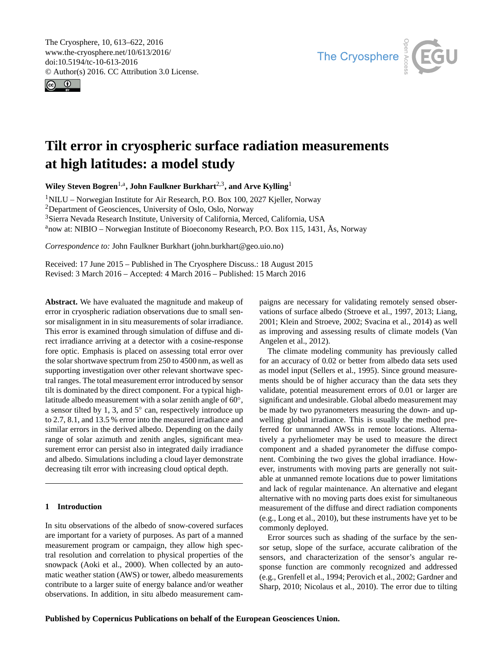<span id="page-0-1"></span>The Cryosphere, 10, 613–622, 2016 www.the-cryosphere.net/10/613/2016/ doi:10.5194/tc-10-613-2016 © Author(s) 2016. CC Attribution 3.0 License.





# **Tilt error in cryospheric surface radiation measurements at high latitudes: a model study**

**Wiley Steven Bogren**[1,a](#page-0-0) **, John Faulkner Burkhart**[2,3](#page-0-0) **, and Arve Kylling**[1](#page-0-0)

NILU – Norwegian Institute for Air Research, P.O. Box 100, 2027 Kjeller, Norway Department of Geosciences, University of Oslo, Oslo, Norway Sierra Nevada Research Institute, University of California, Merced, California, USA <sup>a</sup>now at: NIBIO – Norwegian Institute of Bioeconomy Research, P.O. Box 115, 1431, Ås, Norway

*Correspondence to:* John Faulkner Burkhart (john.burkhart@geo.uio.no)

Received: 17 June 2015 – Published in The Cryosphere Discuss.: 18 August 2015 Revised: 3 March 2016 – Accepted: 4 March 2016 – Published: 15 March 2016

<span id="page-0-0"></span>**Abstract.** We have evaluated the magnitude and makeup of error in cryospheric radiation observations due to small sensor misalignment in in situ measurements of solar irradiance. This error is examined through simulation of diffuse and direct irradiance arriving at a detector with a cosine-response fore optic. Emphasis is placed on assessing total error over the solar shortwave spectrum from 250 to 4500 nm, as well as supporting investigation over other relevant shortwave spectral ranges. The total measurement error introduced by sensor tilt is dominated by the direct component. For a typical highlatitude albedo measurement with a solar zenith angle of  $60^{\circ}$ , a sensor tilted by 1, 3, and  $5^\circ$  can, respectively introduce up to 2.7, 8.1, and 13.5 % error into the measured irradiance and similar errors in the derived albedo. Depending on the daily range of solar azimuth and zenith angles, significant measurement error can persist also in integrated daily irradiance and albedo. Simulations including a cloud layer demonstrate decreasing tilt error with increasing cloud optical depth.

# **1 Introduction**

In situ observations of the albedo of snow-covered surfaces are important for a variety of purposes. As part of a manned measurement program or campaign, they allow high spectral resolution and correlation to physical properties of the snowpack [\(Aoki et al.,](#page-8-0) [2000\)](#page-8-0). When collected by an automatic weather station (AWS) or tower, albedo measurements contribute to a larger suite of energy balance and/or weather observations. In addition, in situ albedo measurement campaigns are necessary for validating remotely sensed observations of surface albedo [\(Stroeve et al.,](#page-8-1) [1997,](#page-8-1) [2013;](#page-9-0) [Liang,](#page-8-2) [2001;](#page-8-2) [Klein and Stroeve,](#page-8-3) [2002;](#page-8-3) [Svacina et al.,](#page-9-1) [2014\)](#page-9-1) as well as improving and assessing results of climate models [\(Van](#page-9-2) [Angelen et al.,](#page-9-2) [2012\)](#page-9-2).

The climate modeling community has previously called for an accuracy of 0.02 or better from albedo data sets used as model input [\(Sellers et al.,](#page-8-4) [1995\)](#page-8-4). Since ground measurements should be of higher accuracy than the data sets they validate, potential measurement errors of 0.01 or larger are significant and undesirable. Global albedo measurement may be made by two pyranometers measuring the down- and upwelling global irradiance. This is usually the method preferred for unmanned AWSs in remote locations. Alternatively a pyrheliometer may be used to measure the direct component and a shaded pyranometer the diffuse component. Combining the two gives the global irradiance. However, instruments with moving parts are generally not suitable at unmanned remote locations due to power limitations and lack of regular maintenance. An alternative and elegant alternative with no moving parts does exist for simultaneous measurement of the diffuse and direct radiation components (e.g., [Long et al.,](#page-8-5) [2010\)](#page-8-5), but these instruments have yet to be commonly deployed.

Error sources such as shading of the surface by the sensor setup, slope of the surface, accurate calibration of the sensors, and characterization of the sensor's angular response function are commonly recognized and addressed (e.g., [Grenfell et al.,](#page-8-6) [1994;](#page-8-6) [Perovich et al.,](#page-8-7) [2002;](#page-8-7) [Gardner and](#page-8-8) [Sharp,](#page-8-8) [2010;](#page-8-8) [Nicolaus et al.,](#page-8-9) [2010\)](#page-8-9). The error due to tilting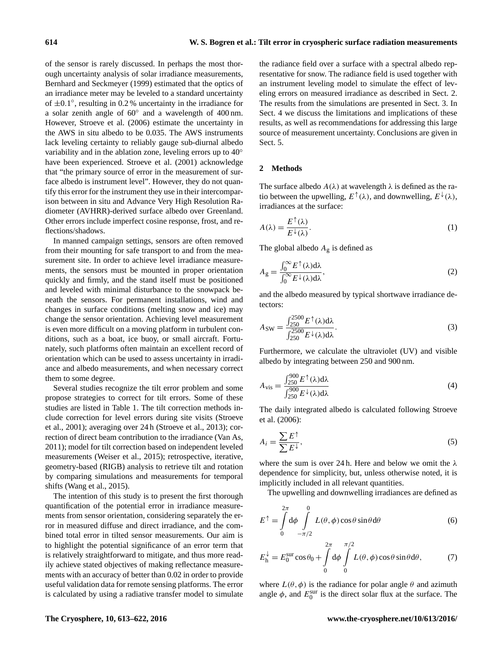of the sensor is rarely discussed. In perhaps the most thorough uncertainty analysis of solar irradiance measurements, [Bernhard and Seckmeyer](#page-8-10) [\(1999\)](#page-8-10) estimated that the optics of an irradiance meter may be leveled to a standard uncertainty of ±0.1 ◦ , resulting in 0.2 % uncertainty in the irradiance for a solar zenith angle of 60° and a wavelength of 400 nm. However, [Stroeve et al.](#page-8-11) [\(2006\)](#page-8-11) estimate the uncertainty in the AWS in situ albedo to be 0.035. The AWS instruments lack leveling certainty to reliably gauge sub-diurnal albedo variability and in the ablation zone, leveling errors up to 40◦ have been experienced. [Stroeve et al.](#page-8-12) [\(2001\)](#page-8-12) acknowledge that "the primary source of error in the measurement of surface albedo is instrument level". However, they do not quantify this error for the instrument they use in their intercomparison between in situ and Advance Very High Resolution Radiometer (AVHRR)-derived surface albedo over Greenland. Other errors include imperfect cosine response, frost, and reflections/shadows.

In manned campaign settings, sensors are often removed from their mounting for safe transport to and from the measurement site. In order to achieve level irradiance measurements, the sensors must be mounted in proper orientation quickly and firmly, and the stand itself must be positioned and leveled with minimal disturbance to the snowpack beneath the sensors. For permanent installations, wind and changes in surface conditions (melting snow and ice) may change the sensor orientation. Achieving level measurement is even more difficult on a moving platform in turbulent conditions, such as a boat, ice buoy, or small aircraft. Fortunately, such platforms often maintain an excellent record of orientation which can be used to assess uncertainty in irradiance and albedo measurements, and when necessary correct them to some degree.

Several studies recognize the tilt error problem and some propose strategies to correct for tilt errors. Some of these studies are listed in Table [1.](#page-2-0) The tilt correction methods include correction for level errors during site visits [\(Stroeve](#page-8-12) [et al.,](#page-8-12) [2001\)](#page-8-12); averaging over 24 h [\(Stroeve et al.,](#page-9-0) [2013\)](#page-9-0); correction of direct beam contribution to the irradiance [\(Van As,](#page-9-3) [2011\)](#page-9-3); model for tilt correction based on independent leveled measurements [\(Weiser et al.,](#page-9-4) [2015\)](#page-9-4); retrospective, iterative, geometry-based (RIGB) analysis to retrieve tilt and rotation by comparing simulations and measurements for temporal shifts [\(Wang et al.,](#page-9-5) [2015\)](#page-9-5).

The intention of this study is to present the first thorough quantification of the potential error in irradiance measurements from sensor orientation, considering separately the error in measured diffuse and direct irradiance, and the combined total error in tilted sensor measurements. Our aim is to highlight the potential significance of an error term that is relatively straightforward to mitigate, and thus more readily achieve stated objectives of making reflectance measurements with an accuracy of better than 0.02 in order to provide useful validation data for remote sensing platforms. The error is calculated by using a radiative transfer model to simulate the radiance field over a surface with a spectral albedo representative for snow. The radiance field is used together with an instrument leveling model to simulate the effect of leveling errors on measured irradiance as described in Sect. [2.](#page-1-0) The results from the simulations are presented in Sect. [3.](#page-4-0) In Sect. [4](#page-6-0) we discuss the limitations and implications of these results, as well as recommendations for addressing this large source of measurement uncertainty. Conclusions are given in Sect. [5.](#page-7-0)

## <span id="page-1-0"></span>**2 Methods**

The surface albedo  $A(\lambda)$  at wavelength  $\lambda$  is defined as the ratio between the upwelling,  $E^{\dagger}(\lambda)$ , and downwelling,  $E^{\downarrow}(\lambda)$ , irradiances at the surface:

<span id="page-1-1"></span>
$$
A(\lambda) = \frac{E^{\uparrow}(\lambda)}{E^{\downarrow}(\lambda)}.
$$
 (1)

The global albedo  $A_g$  is defined as

$$
A_{\rm g} = \frac{\int_0^\infty E^\dagger(\lambda) d\lambda}{\int_0^\infty E^\downarrow(\lambda) d\lambda},\tag{2}
$$

and the albedo measured by typical shortwave irradiance detectors:

$$
A_{\rm SW} = \frac{\int_{250}^{2500} E^{\dagger}(\lambda) d\lambda}{\int_{250}^{2500} E^{\downarrow}(\lambda) d\lambda}.
$$
 (3)

Furthermore, we calculate the ultraviolet (UV) and visible albedo by integrating between 250 and 900 nm.

$$
A_{\rm vis} = \frac{\int_{250}^{900} E^{\uparrow}(\lambda) d\lambda}{\int_{250}^{900} E^{\downarrow}(\lambda) d\lambda}
$$
(4)

The daily integrated albedo is calculated following [Stroeve](#page-8-11) [et al.](#page-8-11) [\(2006\)](#page-8-11):

$$
A_i = \frac{\sum E^{\uparrow}}{\sum E^{\downarrow}},\tag{5}
$$

where the sum is over 24 h. Here and below we omit the  $\lambda$ dependence for simplicity, but, unless otherwise noted, it is implicitly included in all relevant quantities.

The upwelling and downwelling irradiances are defined as

$$
E^{\uparrow} = \int_{0}^{2\pi} d\phi \int_{-\pi/2}^{0} L(\theta, \phi) \cos \theta \sin \theta d\theta
$$
 (6)

<span id="page-1-2"></span>
$$
E_{\mathbf{h}}^{\downarrow} = E_0^{\text{sur}} \cos \theta_0 + \int_0^{2\pi} d\phi \int_0^{\pi/2} L(\theta, \phi) \cos \theta \sin \theta d\theta, \tag{7}
$$

where  $L(\theta, \phi)$  is the radiance for polar angle  $\theta$  and azimuth angle  $\phi$ , and  $E_0^{\text{sur}}$  is the direct solar flux at the surface. The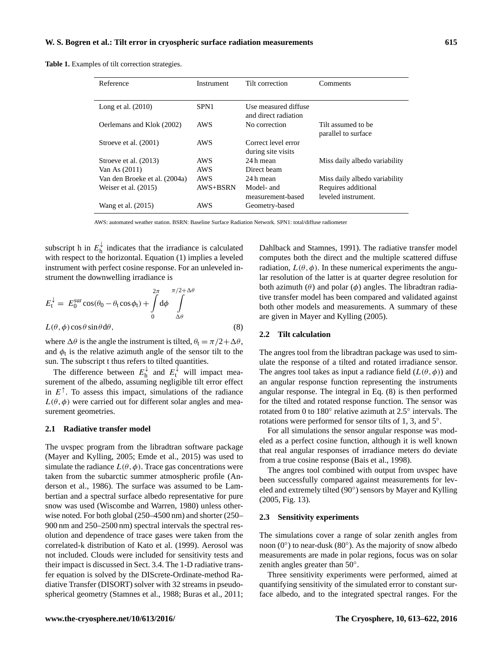<span id="page-2-0"></span>**Table 1.** Examples of tilt correction strategies.

| Reference                     | Instrument | Tilt correction                              | Comments                                   |
|-------------------------------|------------|----------------------------------------------|--------------------------------------------|
|                               |            |                                              |                                            |
| Long et al. $(2010)$          | SPN1       | Use measured diffuse<br>and direct radiation |                                            |
| Oerlemans and Klok (2002)     | <b>AWS</b> | No correction                                | Tilt assumed to be<br>parallel to surface  |
| Stroeve et al. (2001)         | <b>AWS</b> | Correct level error<br>during site visits    |                                            |
| Stroeve et al. (2013)         | <b>AWS</b> | 24 h mean                                    | Miss daily albedo variability              |
| Van As $(2011)$               | <b>AWS</b> | Direct beam                                  |                                            |
| Van den Broeke et al. (2004a) | <b>AWS</b> | 24 h mean                                    | Miss daily albedo variability              |
| Weiser et al. $(2015)$        | $AWS+BSRN$ | Model- and<br>measurement-based              | Requires additional<br>leveled instrument. |
| Wang et al. (2015)            | AWS        | Geometry-based                               |                                            |

AWS: automated weather station. BSRN: Baseline Surface Radiation Network. SPN1: total/diffuse radiometer

subscript h in  $E_h^{\downarrow}$  $\hat{h}$  indicates that the irradiance is calculated with respect to the horizontal. Equation [\(1\)](#page-1-1) implies a leveled instrument with perfect cosine response. For an unleveled instrument the downwelling irradiance is

$$
E_t^{\downarrow} = E_0^{\text{sur}} \cos(\theta_0 - \theta_t \cos \phi_t) + \int_0^{2\pi} d\phi \int_{\Delta \theta}^{\pi/2 + \Delta \theta}
$$
  

$$
L(\theta, \phi) \cos \theta \sin \theta d\theta,
$$
 (8)

where  $\Delta\theta$  is the angle the instrument is tilted,  $\theta_t = \pi/2 + \Delta\theta$ , and  $\phi_t$  is the relative azimuth angle of the sensor tilt to the sun. The subscript t thus refers to tilted quantities.

The difference between  $E_h^{\downarrow}$  $E_t^{\downarrow}$  and  $E_t^{\downarrow}$  will impact measurement of the albedo, assuming negligible tilt error effect in  $E^{\uparrow}$ . To assess this impact, simulations of the radiance  $L(\theta, \phi)$  were carried out for different solar angles and measurement geometries.

#### **2.1 Radiative transfer model**

The uvspec program from the libradtran software package [\(Mayer and Kylling,](#page-8-14) [2005;](#page-8-14) [Emde et al.,](#page-8-15) [2015\)](#page-8-15) was used to simulate the radiance  $L(\theta, \phi)$ . Trace gas concentrations were taken from the subarctic summer atmospheric profile [\(An](#page-8-16)[derson et al.,](#page-8-16) [1986\)](#page-8-16). The surface was assumed to be Lambertian and a spectral surface albedo representative for pure snow was used [\(Wiscombe and Warren,](#page-9-7) [1980\)](#page-9-7) unless otherwise noted. For both global (250–4500 nm) and shorter (250– 900 nm and 250–2500 nm) spectral intervals the spectral resolution and dependence of trace gases were taken from the correlated-k distribution of [Kato et al.](#page-8-17) [\(1999\)](#page-8-17). Aerosol was not included. Clouds were included for sensitivity tests and their impact is discussed in Sect. [3.4.](#page-5-0) The 1-D radiative transfer equation is solved by the DIScrete-Ordinate-method Radiative Transfer (DISORT) solver with 32 streams in pseudospherical geometry [\(Stamnes et al.,](#page-8-18) [1988;](#page-8-18) [Buras et al.,](#page-8-19) [2011;](#page-8-19) [Dahlback and Stamnes,](#page-8-20) [1991\)](#page-8-20). The radiative transfer model computes both the direct and the multiple scattered diffuse radiation,  $L(\theta, \phi)$ . In these numerical experiments the angular resolution of the latter is at quarter degree resolution for both azimuth  $(\theta)$  and polar  $(\phi)$  angles. The libradtran radiative transfer model has been compared and validated against both other models and measurements. A summary of these are given in [Mayer and Kylling](#page-8-14) [\(2005\)](#page-8-14).

## <span id="page-2-1"></span>**2.2 Tilt calculation**

The angres tool from the libradtran package was used to simulate the response of a tilted and rotated irradiance sensor. The angres tool takes as input a radiance field  $(L(\theta, \phi))$  and an angular response function representing the instruments angular response. The integral in Eq. [\(8\)](#page-2-1) is then performed for the tilted and rotated response function. The sensor was rotated from 0 to 180° relative azimuth at 2.5° intervals. The rotations were performed for sensor tilts of 1, 3, and 5°.

For all simulations the sensor angular response was modeled as a perfect cosine function, although it is well known that real angular responses of irradiance meters do deviate from a true cosine response [\(Bais et al.,](#page-8-21) [1998\)](#page-8-21).

The angres tool combined with output from uvspec have been successfully compared against measurements for leveled and extremely tilted (90◦ ) sensors by [Mayer and Kylling](#page-8-14) [\(2005,](#page-8-14) Fig. 13).

# **2.3 Sensitivity experiments**

The simulations cover a range of solar zenith angles from noon (0°) to near-dusk (80°). As the majority of snow albedo measurements are made in polar regions, focus was on solar zenith angles greater than  $50^\circ$ .

Three sensitivity experiments were performed, aimed at quantifying sensitivity of the simulated error to constant surface albedo, and to the integrated spectral ranges. For the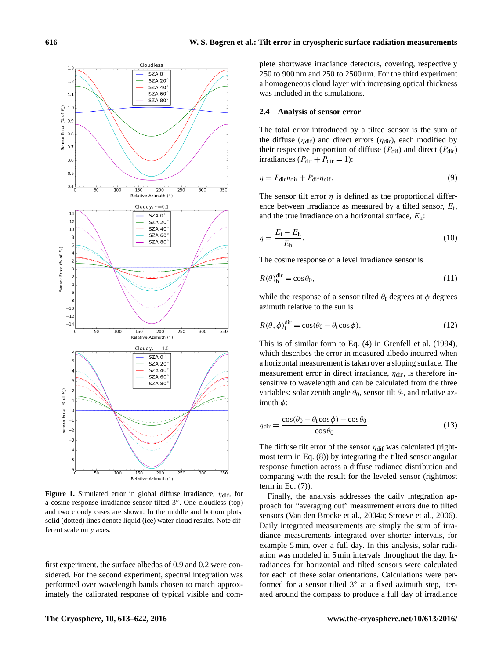<span id="page-3-1"></span>

**Figure 1.** Simulated error in global diffuse irradiance,  $\eta_{\text{dif}}$ , for a cosine-response irradiance sensor tilted 3◦ . One cloudless (top) and two cloudy cases are shown. In the middle and bottom plots, solid (dotted) lines denote liquid (ice) water cloud results. Note different scale on y axes.

first experiment, the surface albedos of 0.9 and 0.2 were considered. For the second experiment, spectral integration was performed over wavelength bands chosen to match approximately the calibrated response of typical visible and complete shortwave irradiance detectors, covering, respectively 250 to 900 nm and 250 to 2500 nm. For the third experiment a homogeneous cloud layer with increasing optical thickness was included in the simulations.

# **2.4 Analysis of sensor error**

The total error introduced by a tilted sensor is the sum of the diffuse ( $\eta_{\text{dif}}$ ) and direct errors ( $\eta_{\text{dir}}$ ), each modified by their respective proportion of diffuse ( $P_{\text{dif}}$ ) and direct ( $P_{\text{dir}}$ ) irradiances ( $P_{\text{dif}} + P_{\text{dir}} = 1$ ):

<span id="page-3-2"></span>
$$
\eta = P_{\text{dir}} \eta_{\text{dir}} + P_{\text{diff}} \eta_{\text{diff}}.\tag{9}
$$

<span id="page-3-0"></span>The sensor tilt error  $\eta$  is defined as the proportional difference between irradiance as measured by a tilted sensor,  $E_t$ , and the true irradiance on a horizontal surface,  $E_h$ :

$$
\eta = \frac{E_{\rm t} - E_{\rm h}}{E_{\rm h}}.\tag{10}
$$

The cosine response of a level irradiance sensor is

$$
R(\theta)_{h}^{\text{dir}} = \cos \theta_0, \tag{11}
$$

while the response of a sensor tilted  $\theta_t$  degrees at  $\phi$  degrees azimuth relative to the sun is

$$
R(\theta, \phi)_t^{\text{dir}} = \cos(\theta_0 - \theta_t \cos \phi). \tag{12}
$$

This is of similar form to Eq. (4) in [Grenfell et al.](#page-8-6) [\(1994\)](#page-8-6), which describes the error in measured albedo incurred when a horizontal measurement is taken over a sloping surface. The measurement error in direct irradiance,  $\eta_{\text{dir}}$ , is therefore insensitive to wavelength and can be calculated from the three variables: solar zenith angle  $\theta_0$ , sensor tilt  $\theta_t$ , and relative azimuth  $\phi$ :

$$
\eta_{\text{dir}} = \frac{\cos(\theta_0 - \theta_t \cos \phi) - \cos \theta_0}{\cos \theta_0}.
$$
\n(13)

The diffuse tilt error of the sensor  $\eta_{\text{dif}}$  was calculated (rightmost term in Eq. [\(8\)](#page-2-1)) by integrating the tilted sensor angular response function across a diffuse radiance distribution and comparing with the result for the leveled sensor (rightmost term in Eq.  $(7)$ ).

Finally, the analysis addresses the daily integration approach for "averaging out" measurement errors due to tilted sensors [\(Van den Broeke et al.,](#page-9-6) [2004a;](#page-9-6) [Stroeve et al.,](#page-8-11) [2006\)](#page-8-11). Daily integrated measurements are simply the sum of irradiance measurements integrated over shorter intervals, for example 5 min, over a full day. In this analysis, solar radiation was modeled in 5 min intervals throughout the day. Irradiances for horizontal and tilted sensors were calculated for each of these solar orientations. Calculations were performed for a sensor tilted 3◦ at a fixed azimuth step, iterated around the compass to produce a full day of irradiance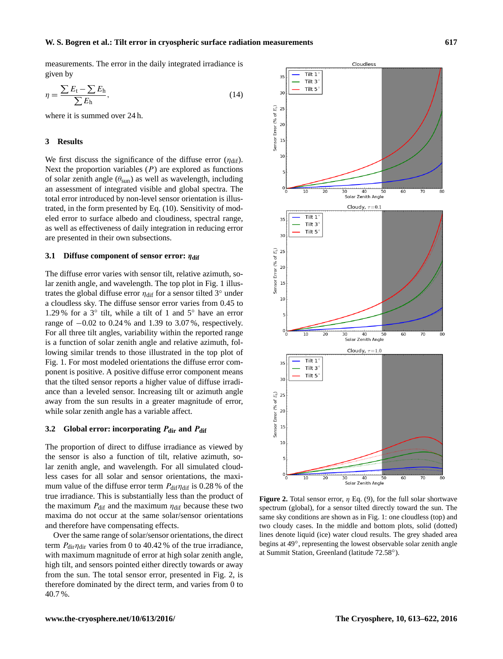<span id="page-4-3"></span>measurements. The error in the daily integrated irradiance is given by

$$
\eta = \frac{\sum E_{\rm t} - \sum E_{\rm h}}{\sum E_{\rm h}},\tag{14}
$$

where it is summed over 24 h.

## <span id="page-4-0"></span>**3 Results**

We first discuss the significance of the diffuse error  $(\eta_{\text{dif}})$ . Next the proportion variables  $(P)$  are explored as functions of solar zenith angle  $(\theta_{sun})$  as well as wavelength, including an assessment of integrated visible and global spectra. The total error introduced by non-level sensor orientation is illustrated, in the form presented by Eq. [\(10\)](#page-3-0). Sensitivity of modeled error to surface albedo and cloudiness, spectral range, as well as effectiveness of daily integration in reducing error are presented in their own subsections.

# **3.1 Diffuse component of sensor error:** η**dif**

The diffuse error varies with sensor tilt, relative azimuth, solar zenith angle, and wavelength. The top plot in Fig. [1](#page-3-1) illustrates the global diffuse error  $\eta_{\text{dif}}$  for a sensor tilted 3 $\degree$  under a cloudless sky. The diffuse sensor error varies from 0.45 to 1.29 % for a 3◦ tilt, while a tilt of 1 and 5◦ have an error range of −0.02 to 0.24 % and 1.39 to 3.07 %, respectively. For all three tilt angles, variability within the reported range is a function of solar zenith angle and relative azimuth, following similar trends to those illustrated in the top plot of Fig. [1.](#page-3-1) For most modeled orientations the diffuse error component is positive. A positive diffuse error component means that the tilted sensor reports a higher value of diffuse irradiance than a leveled sensor. Increasing tilt or azimuth angle away from the sun results in a greater magnitude of error, while solar zenith angle has a variable affect.

#### **3.2 Global error: incorporating** P**dir and** P**dif**

The proportion of direct to diffuse irradiance as viewed by the sensor is also a function of tilt, relative azimuth, solar zenith angle, and wavelength. For all simulated cloudless cases for all solar and sensor orientations, the maximum value of the diffuse error term  $P_{\text{dif}}$   $\eta_{\text{dif}}$  is 0.28 % of the true irradiance. This is substantially less than the product of the maximum  $P_{\text{dif}}$  and the maximum  $\eta_{\text{dif}}$  because these two maxima do not occur at the same solar/sensor orientations and therefore have compensating effects.

Over the same range of solar/sensor orientations, the direct term  $P_{\text{dir}} \eta_{\text{dir}}$  varies from 0 to 40.42 % of the true irradiance, with maximum magnitude of error at high solar zenith angle, high tilt, and sensors pointed either directly towards or away from the sun. The total sensor error, presented in Fig. [2,](#page-4-1) is therefore dominated by the direct term, and varies from 0 to 40.7 %.

<span id="page-4-1"></span>

<span id="page-4-2"></span>**Figure 2.** Total sensor error,  $\eta$  Eq. [\(9\)](#page-3-2), for the full solar shortwave spectrum (global), for a sensor tilted directly toward the sun. The same sky conditions are shown as in Fig. [1:](#page-3-1) one cloudless (top) and two cloudy cases. In the middle and bottom plots, solid (dotted) lines denote liquid (ice) water cloud results. The grey shaded area begins at 49°, representing the lowest observable solar zenith angle at Summit Station, Greenland (latitude 72.58◦ ).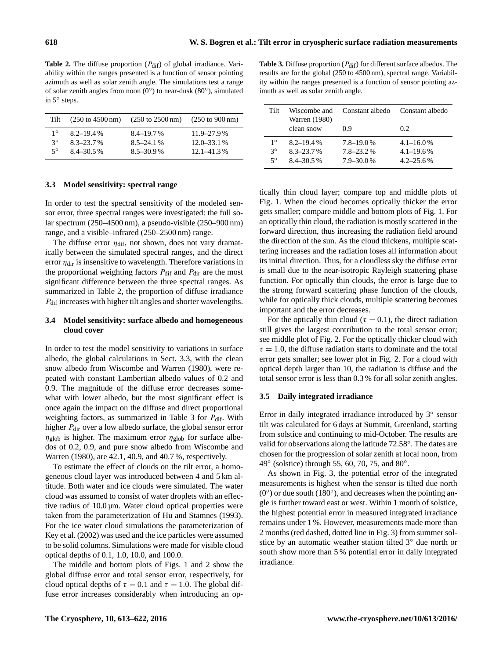<span id="page-5-1"></span>**Table 2.** The diffuse proportion  $(P_{\text{dif}})$  of global irradiance. Variability within the ranges presented is a function of sensor pointing azimuth as well as solar zenith angle. The simulations test a range of solar zenith angles from noon  $(0^{\circ})$  to near-dusk  $(80^{\circ})$ , simulated in 5◦ steps.

| Tilt        | $(250 \text{ to } 4500 \text{ nm})$ | $(250 \text{ to } 2500 \text{ nm})$ $(250 \text{ to } 900 \text{ nm})$ |                |
|-------------|-------------------------------------|------------------------------------------------------------------------|----------------|
| $1^{\circ}$ | $8.2 - 19.4%$                       | $8.4 - 19.7\%$                                                         | $11.9 - 27.9%$ |
| २०          | $8.3 - 23.7%$                       | $8.5 - 24.1%$                                                          | $12.0 - 33.1%$ |
| $5^{\circ}$ | $8.4 - 30.5%$                       | $8.5 - 30.9\%$                                                         | $12.1 - 41.3%$ |

# **3.3 Model sensitivity: spectral range**

In order to test the spectral sensitivity of the modeled sensor error, three spectral ranges were investigated: the full solar spectrum (250–4500 nm), a pseudo-visible (250–900 nm) range, and a visible–infrared (250–2500 nm) range.

The diffuse error  $\eta_{\text{dif}}$ , not shown, does not vary dramatically between the simulated spectral ranges, and the direct error  $\eta_{\text{dir}}$  is insensitive to wavelength. Therefore variations in the proportional weighting factors  $P_{\text{dif}}$  and  $P_{\text{dir}}$  are the most significant difference between the three spectral ranges. As summarized in Table [2,](#page-5-1) the proportion of diffuse irradiance  $P_{\text{dif}}$  increases with higher tilt angles and shorter wavelengths.

# <span id="page-5-0"></span>**3.4 Model sensitivity: surface albedo and homogeneous cloud cover**

In order to test the model sensitivity to variations in surface albedo, the global calculations in Sect. [3.3,](#page-4-2) with the clean snow albedo from [Wiscombe and Warren](#page-9-7) [\(1980\)](#page-9-7), were repeated with constant Lambertian albedo values of 0.2 and 0.9. The magnitude of the diffuse error decreases somewhat with lower albedo, but the most significant effect is once again the impact on the diffuse and direct proportional weighting factors, as summarized in Table [3](#page-5-2) for  $P_{\text{dif}}$ . With higher  $P_{\text{dir}}$  over a low albedo surface, the global sensor error  $\eta_{\text{glob}}$  is higher. The maximum error  $\eta_{\text{glob}}$  for surface albedos of 0.2, 0.9, and pure snow albedo from [Wiscombe and](#page-9-7) [Warren](#page-9-7) [\(1980\)](#page-9-7), are 42.1, 40.9, and 40.7 %, respectively.

To estimate the effect of clouds on the tilt error, a homogeneous cloud layer was introduced between 4 and 5 km altitude. Both water and ice clouds were simulated. The water cloud was assumed to consist of water droplets with an effective radius of 10.0 µm. Water cloud optical properties were taken from the parameterization of [Hu and Stamnes](#page-8-22) [\(1993\)](#page-8-22). For the ice water cloud simulations the parameterization of [Key et al.](#page-8-23) [\(2002\)](#page-8-23) was used and the ice particles were assumed to be solid columns. Simulations were made for visible cloud optical depths of 0.1, 1.0, 10.0, and 100.0.

The middle and bottom plots of Figs. [1](#page-3-1) and [2](#page-4-1) show the global diffuse error and total sensor error, respectively, for cloud optical depths of  $\tau = 0.1$  and  $\tau = 1.0$ . The global diffuse error increases considerably when introducing an op-

<span id="page-5-2"></span>**Table 3.** Diffuse proportion ( $P_{\text{dif}}$ ) for different surface albedos. The results are for the global (250 to 4500 nm), spectral range. Variability within the ranges presented is a function of sensor pointing azimuth as well as solar zenith angle.

| Tilt        | Wiscombe and<br>Warren (1980) | Constant albedo | Constant albedo |
|-------------|-------------------------------|-----------------|-----------------|
|             | clean snow                    | 0.9             | 0.2             |
| $1^{\circ}$ | $8.2 - 19.4%$                 | $7.8 - 19.0%$   | $4.1 - 16.0\%$  |
| $3^{\circ}$ | $8.3 - 23.7%$                 | $7.8 - 23.2\%$  | $4.1 - 19.6\%$  |
| $5^{\circ}$ | $8.4 - 30.5\%$                | $7.9 - 30.0%$   | $4.2 - 25.6%$   |

tically thin cloud layer; compare top and middle plots of Fig. [1.](#page-3-1) When the cloud becomes optically thicker the error gets smaller; compare middle and bottom plots of Fig. [1.](#page-3-1) For an optically thin cloud, the radiation is mostly scattered in the forward direction, thus increasing the radiation field around the direction of the sun. As the cloud thickens, multiple scattering increases and the radiation loses all information about its initial direction. Thus, for a cloudless sky the diffuse error is small due to the near-isotropic Rayleigh scattering phase function. For optically thin clouds, the error is large due to the strong forward scattering phase function of the clouds, while for optically thick clouds, multiple scattering becomes important and the error decreases.

For the optically thin cloud ( $\tau = 0.1$ ), the direct radiation still gives the largest contribution to the total sensor error; see middle plot of Fig. [2.](#page-4-1) For the optically thicker cloud with  $\tau = 1.0$ , the diffuse radiation starts to dominate and the total error gets smaller; see lower plot in Fig. [2.](#page-4-1) For a cloud with optical depth larger than 10, the radiation is diffuse and the total sensor error is less than 0.3 % for all solar zenith angles.

## **3.5 Daily integrated irradiance**

Error in daily integrated irradiance introduced by 3° sensor tilt was calculated for 6 days at Summit, Greenland, starting from solstice and continuing to mid-October. The results are valid for observations along the latitude 72.58°. The dates are chosen for the progression of solar zenith at local noon, from 49° (solstice) through 55, 60, 70, 75, and 80°.

As shown in Fig. [3,](#page-6-1) the potential error of the integrated measurements is highest when the sensor is tilted due north  $(0^{\circ})$  or due south  $(180^{\circ})$ , and decreases when the pointing angle is further toward east or west. Within 1 month of solstice, the highest potential error in measured integrated irradiance remains under 1 %. However, measurements made more than 2 months (red dashed, dotted line in Fig. [3\)](#page-6-1) from summer solstice by an automatic weather station tilted 3◦ due north or south show more than 5 % potential error in daily integrated irradiance.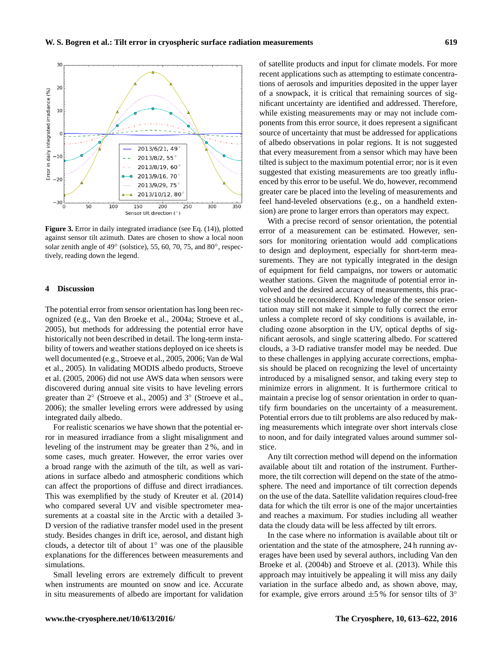<span id="page-6-1"></span>

**Figure 3.** Error in daily integrated irradiance (see Eq. [\(14\)](#page-4-3)), plotted against sensor tilt azimuth. Dates are chosen to show a local noon solar zenith angle of 49° (solstice), 55, 60, 70, 75, and 80°, respectively, reading down the legend.

## <span id="page-6-0"></span>**4 Discussion**

The potential error from sensor orientation has long been recognized (e.g., [Van den Broeke et al.,](#page-9-6) [2004a;](#page-9-6) [Stroeve et al.,](#page-8-24) [2005\)](#page-8-24), but methods for addressing the potential error have historically not been described in detail. The long-term instability of towers and weather stations deployed on ice sheets is well documented (e.g., [Stroeve et al.,](#page-8-24) [2005,](#page-8-24) [2006;](#page-8-11) [Van de Wal](#page-9-8) [et al.,](#page-9-8) [2005\)](#page-9-8). In validating MODIS albedo products, [Stroeve](#page-8-24) [et al.](#page-8-24) [\(2005,](#page-8-24) [2006\)](#page-8-11) did not use AWS data when sensors were discovered during annual site visits to have leveling errors greater than 2° [\(Stroeve et al.,](#page-8-11) [2005\)](#page-8-24) and 3° (Stroeve et al., [2006\)](#page-8-11); the smaller leveling errors were addressed by using integrated daily albedo.

For realistic scenarios we have shown that the potential error in measured irradiance from a slight misalignment and leveling of the instrument may be greater than 2 %, and in some cases, much greater. However, the error varies over a broad range with the azimuth of the tilt, as well as variations in surface albedo and atmospheric conditions which can affect the proportions of diffuse and direct irradiances. This was exemplified by the study of [Kreuter et al.](#page-8-25) [\(2014\)](#page-8-25) who compared several UV and visible spectrometer measurements at a coastal site in the Arctic with a detailed 3- D version of the radiative transfer model used in the present study. Besides changes in drift ice, aerosol, and distant high clouds, a detector tilt of about 1◦ was one of the plausible explanations for the differences between measurements and simulations.

Small leveling errors are extremely difficult to prevent when instruments are mounted on snow and ice. Accurate in situ measurements of albedo are important for validation

of satellite products and input for climate models. For more recent applications such as attempting to estimate concentrations of aerosols and impurities deposited in the upper layer of a snowpack, it is critical that remaining sources of significant uncertainty are identified and addressed. Therefore, while existing measurements may or may not include components from this error source, it does represent a significant source of uncertainty that must be addressed for applications of albedo observations in polar regions. It is not suggested that every measurement from a sensor which may have been tilted is subject to the maximum potential error; nor is it even suggested that existing measurements are too greatly influenced by this error to be useful. We do, however, recommend greater care be placed into the leveling of measurements and feel hand-leveled observations (e.g., on a handheld extension) are prone to larger errors than operators may expect.

With a precise record of sensor orientation, the potential error of a measurement can be estimated. However, sensors for monitoring orientation would add complications to design and deployment, especially for short-term measurements. They are not typically integrated in the design of equipment for field campaigns, nor towers or automatic weather stations. Given the magnitude of potential error involved and the desired accuracy of measurements, this practice should be reconsidered. Knowledge of the sensor orientation may still not make it simple to fully correct the error unless a complete record of sky conditions is available, including ozone absorption in the UV, optical depths of significant aerosols, and single scattering albedo. For scattered clouds, a 3-D radiative transfer model may be needed. Due to these challenges in applying accurate corrections, emphasis should be placed on recognizing the level of uncertainty introduced by a misaligned sensor, and taking every step to minimize errors in alignment. It is furthermore critical to maintain a precise log of sensor orientation in order to quantify firm boundaries on the uncertainty of a measurement. Potential errors due to tilt problems are also reduced by making measurements which integrate over short intervals close to noon, and for daily integrated values around summer solstice.

Any tilt correction method will depend on the information available about tilt and rotation of the instrument. Furthermore, the tilt correction will depend on the state of the atmosphere. The need and importance of tilt correction depends on the use of the data. Satellite validation requires cloud-free data for which the tilt error is one of the major uncertainties and reaches a maximum. For studies including all weather data the cloudy data will be less affected by tilt errors.

In the case where no information is available about tilt or orientation and the state of the atmosphere, 24 h running averages have been used by several authors, including [Van den](#page-9-9) [Broeke et al.](#page-9-9) [\(2004b\)](#page-9-9) and [Stroeve et al.](#page-9-0) [\(2013\)](#page-9-0). While this approach may intuitively be appealing it will miss any daily variation in the surface albedo and, as shown above, may, for example, give errors around  $\pm 5$ % for sensor tilts of 3<sup>°</sup>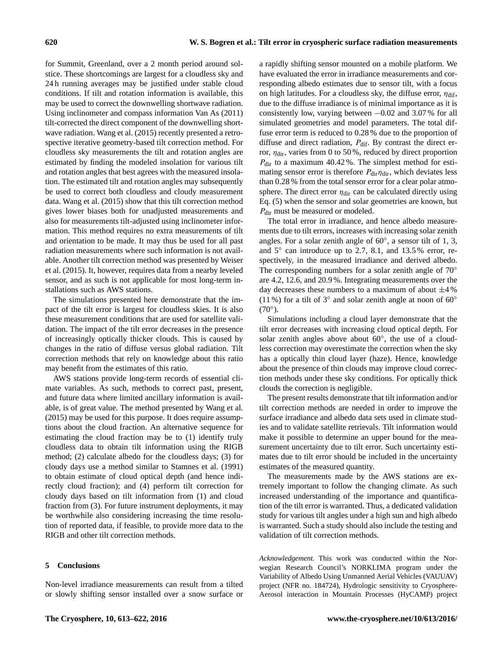for Summit, Greenland, over a 2 month period around solstice. These shortcomings are largest for a cloudless sky and 24 h running averages may be justified under stable cloud conditions. If tilt and rotation information is available, this may be used to correct the downwelling shortwave radiation. Using inclinometer and compass information [Van As](#page-9-3) [\(2011\)](#page-9-3) tilt-corrected the direct component of the downwelling shortwave radiation. [Wang et al.](#page-9-5) [\(2015\)](#page-9-5) recently presented a retrospective iterative geometry-based tilt correction method. For cloudless sky measurements the tilt and rotation angles are estimated by finding the modeled insolation for various tilt and rotation angles that best agrees with the measured insolation. The estimated tilt and rotation angles may subsequently be used to correct both cloudless and cloudy measurement data. [Wang et al.](#page-9-5) [\(2015\)](#page-9-5) show that this tilt correction method gives lower biases both for unadjusted measurements and also for measurements tilt-adjusted using inclinometer information. This method requires no extra measurements of tilt and orientation to be made. It may thus be used for all past radiation measurements where such information is not available. Another tilt correction method was presented by [Weiser](#page-9-4) [et al.](#page-9-4) [\(2015\)](#page-9-4). It, however, requires data from a nearby leveled sensor, and as such is not applicable for most long-term installations such as AWS stations.

The simulations presented here demonstrate that the impact of the tilt error is largest for cloudless skies. It is also these measurement conditions that are used for satellite validation. The impact of the tilt error decreases in the presence of increasingly optically thicker clouds. This is caused by changes in the ratio of diffuse versus global radiation. Tilt correction methods that rely on knowledge about this ratio may benefit from the estimates of this ratio.

AWS stations provide long-term records of essential climate variables. As such, methods to correct past, present, and future data where limited ancillary information is available, is of great value. The method presented by [Wang et al.](#page-9-5) [\(2015\)](#page-9-5) may be used for this purpose. It does require assumptions about the cloud fraction. An alternative sequence for estimating the cloud fraction may be to (1) identify truly cloudless data to obtain tilt information using the RIGB method; (2) calculate albedo for the cloudless days; (3) for cloudy days use a method similar to Stamnes et al. (1991) to obtain estimate of cloud optical depth (and hence indirectly cloud fraction); and (4) perform tilt correction for cloudy days based on tilt information from (1) and cloud fraction from (3). For future instrument deployments, it may be worthwhile also considering increasing the time resolution of reported data, if feasible, to provide more data to the RIGB and other tilt correction methods.

#### <span id="page-7-0"></span>**5 Conclusions**

Non-level irradiance measurements can result from a tilted or slowly shifting sensor installed over a snow surface or a rapidly shifting sensor mounted on a mobile platform. We have evaluated the error in irradiance measurements and corresponding albedo estimates due to sensor tilt, with a focus on high latitudes. For a cloudless sky, the diffuse error,  $\eta_{\text{dif}}$ , due to the diffuse irradiance is of minimal importance as it is consistently low, varying between −0.02 and 3.07 % for all simulated geometries and model parameters. The total diffuse error term is reduced to 0.28 % due to the proportion of diffuse and direct radiation,  $P_{\text{dif}}$ . By contrast the direct error,  $\eta_{\text{dir}}$ , varies from 0 to 50%, reduced by direct proportion  $P_{\text{dir}}$  to a maximum 40.42%. The simplest method for estimating sensor error is therefore  $P_{\text{dir}} \eta_{\text{dir}}$ , which deviates less than 0.28 % from the total sensor error for a clear polar atmosphere. The direct error  $\eta_{\text{dir}}$  can be calculated directly using Eq. (5) when the sensor and solar geometries are known, but  $P_{\text{dir}}$  must be measured or modeled.

The total error in irradiance, and hence albedo measurements due to tilt errors, increases with increasing solar zenith angles. For a solar zenith angle of 60◦ , a sensor tilt of 1, 3, and 5◦ can introduce up to 2.7, 8.1, and 13.5 % error, respectively, in the measured irradiance and derived albedo. The corresponding numbers for a solar zenith angle of 70° are 4.2, 12.6, and 20.9 %. Integrating measurements over the day decreases these numbers to a maximum of about  $\pm 4$  % (11%) for a tilt of 3° and solar zenith angle at noon of  $60^\circ$  $(70^{\circ})$ .

Simulations including a cloud layer demonstrate that the tilt error decreases with increasing cloud optical depth. For solar zenith angles above about 60°, the use of a cloudless correction may overestimate the correction when the sky has a optically thin cloud layer (haze). Hence, knowledge about the presence of thin clouds may improve cloud correction methods under these sky conditions. For optically thick clouds the correction is negligible.

The present results demonstrate that tilt information and/or tilt correction methods are needed in order to improve the surface irradiance and albedo data sets used in climate studies and to validate satellite retrievals. Tilt information would make it possible to determine an upper bound for the measurement uncertainty due to tilt error. Such uncertainty estimates due to tilt error should be included in the uncertainty estimates of the measured quantity.

The measurements made by the AWS stations are extremely important to follow the changing climate. As such increased understanding of the importance and quantification of the tilt error is warranted. Thus, a dedicated validation study for various tilt angles under a high sun and high albedo is warranted. Such a study should also include the testing and validation of tilt correction methods.

*Acknowledgement.* This work was conducted within the Norwegian Research Council's NORKLIMA program under the Variability of Albedo Using Unmanned Aerial Vehicles (VAUUAV) project (NFR no. 184724), Hydrologic sensitivity to Cryosphere-Aerosol interaction in Mountain Processes (HyCAMP) project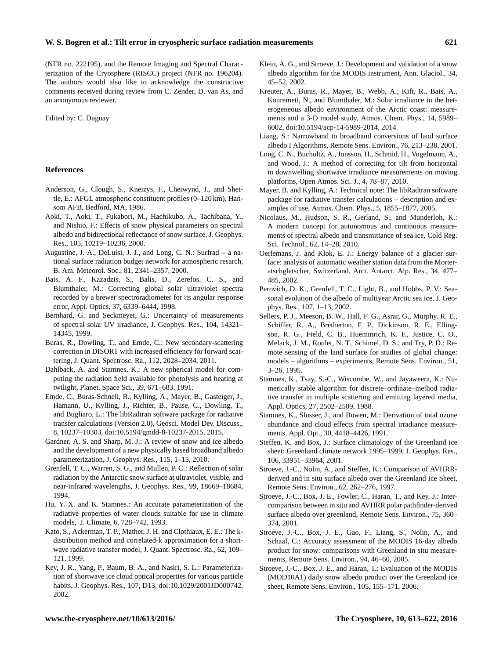(NFR no. 222195), and the Remote Imaging and Spectral Characterization of the Cryosphere (RISCC) project (NFR no. 196204). The authors would also like to acknowledge the constructive comments received during review from C. Zender, D. van As, and an anonymous reviewer.

#### Edited by: C. Duguay

#### **References**

- <span id="page-8-16"></span>Anderson, G., Clough, S., Kneizys, F., Chetwynd, J., and Shettle, E.: AFGL atmospheric constituent profiles (0–120 km), Hansom AFB, Bedford, MA, 1986.
- <span id="page-8-0"></span>Aoki, T., Aoki, T., Fukabori, M., Hachikubo, A., Tachibana, Y., and Nishio, F.: Effects of snow physical parameters on spectral albedo and bidirectional reflectance of snow surface, J. Geophys. Res., 105, 10219–10236, 2000.
- Augustine, J. A., DeLuisi, J. J., and Long, C. N.: Surfrad a national surface radiation budget network for atmospheric resarch, B. Am. Meteorol. Soc., 81, 2341–2357, 2000.
- <span id="page-8-21"></span>Bais, A. F., Kazadzis, S., Balis, D., Zerefos, C. S., and Blumthaler, M.: Correcting global solar ultraviolet spectra recorded by a brewer spectroradiometer for its angular response error, Appl. Optics, 37, 6339–6444, 1998.
- <span id="page-8-10"></span>Bernhard, G. and Seckmeyer, G.: Uncertainty of measurements of spectral solar UV irradiance, J. Geophys. Res., 104, 14321– 14345, 1999.
- <span id="page-8-19"></span>Buras, R., Dowling, T., and Emde, C.: New secondary-scattering correction in DISORT with increased efficiency for forward scattering, J. Quant. Spectrosc. Ra., 112, 2028–2034, 2011.
- <span id="page-8-20"></span>Dahlback, A. and Stamnes, K.: A new spherical model for computing the radiation field available for photolysis and heating at twilight, Planet. Space Sci., 39, 671–683, 1991.
- <span id="page-8-15"></span>Emde, C., Buras-Schnell, R., Kylling, A., Mayer, B., Gasteiger, J., Hamann, U., Kylling, J., Richter, B., Pause, C., Dowling, T., and Bugliaro, L.: The libRadtran software package for radiative transfer calculations (Version 2.0), Geosci. Model Dev. Discuss., 8, 10237–10303, doi[:10.5194/gmdd-8-10237-2015,](http://dx.doi.org/10.5194/gmdd-8-10237-2015) 2015.
- <span id="page-8-8"></span>Gardner, A. S. and Sharp, M. J.: A review of snow and ice albedo and the development of a new physically based broadband albedo parameterization, J. Geophys. Res., 115, 1–15, 2010.
- <span id="page-8-6"></span>Grenfell, T. C., Warren, S. G., and Mullen, P. C.: Reflection of solar radiation by the Antarctic snow surface at ultraviolet, visible, and near-infrared wavelengths, J. Geophys. Res., 99, 18669–18684, 1994.
- <span id="page-8-22"></span>Hu, Y. X. and K. Stamnes.: An accurate parameterization of the radiative properties of water clouds suitable for use in climate models, J. Climate, 6, 728–742, 1993.
- <span id="page-8-17"></span>Kato, S., Ackerman, T. P., Mather, J. H. and Clothiaux, E. E.: The kdistribution method and correlated-k approximation for a shortwave radiative transfer model, J. Quant. Spectrosc. Ra., 62, 109– 121, 1999.
- <span id="page-8-23"></span>Key, J. R., Yang, P., Baum, B. A., and Nasiri, S. L.: Parameterization of shortwave ice cloud optical properties for various particle habits, J. Geophys. Res., 107, D13, doi[:10.1029/2001JD000742,](http://dx.doi.org/10.1029/2001JD000742) 2002.
- <span id="page-8-3"></span>Klein, A. G., and Stroeve, J.: Development and validation of a snow albedo algorithm for the MODIS instrument, Ann. Glaciol., 34, 45–52, 2002.
- <span id="page-8-25"></span>Kreuter, A., Buras, R., Mayer, B., Webb, A., Kift, R., Bais, A., Kouremeti, N., and Blumthaler, M.: Solar irradiance in the heterogeneous albedo environment of the Arctic coast: measurements and a 3-D model study, Atmos. Chem. Phys., 14, 5989– 6002, doi[:10.5194/acp-14-5989-2014,](http://dx.doi.org/10.5194/acp-14-5989-2014) 2014.
- <span id="page-8-2"></span>Liang, S.: Narrowband to broadband conversions of land surface albedo I Algorithms, Remote Sens. Environ., 76, 213–238, 2001.
- <span id="page-8-5"></span>Long, C. N., Bucholtz, A., Jonsson, H., Schmid, H., Vogelmann, A., and Wood, J.: A method of correcting for tilt from horizontal in downwelling shortwave irradiance measurements on moving platforms, Open Atmos. Sci. J., 4, 78–87, 2010.
- <span id="page-8-14"></span>Mayer, B. and Kylling, A.: Technical note: The libRadtran software package for radiative transfer calculations – description and examples of use, Atmos. Chem. Phys., 5, 1855–1877, 2005.
- <span id="page-8-9"></span>Nicolaus, M., Hudson, S. R., Gerland, S., and Munderloh, K.: A modern concept for autonomous and continuous measurements of spectral albedo and transmittance of sea ice, Cold Reg. Sci. Technol., 62, 14–28, 2010.
- <span id="page-8-13"></span>Oerlemans, J. and Klok, E. J.: Energy balance of a glacier surface: analysis of automatic weather station data from the Morteratschgletscher, Switzerland, Arct. Antarct. Alp. Res., 34, 477– 485, 2002.
- <span id="page-8-7"></span>Perovich, D. K., Grenfell, T. C., Light, B., and Hobbs, P. V.: Seasonal evolution of the albedo of multiyear Arctic sea ice, J. Geophys. Res., 107, 1–13, 2002.
- <span id="page-8-4"></span>Sellers, P. J., Meeson, B. W., Hall, F. G., Asrar, G., Murphy, R. E., Schiffer, R. A., Bretherton, F. P., Dickinson, R. E., Ellingson, R. G., Field, C. B., Huemmrich, K. F., Justice, C. O., Melack, J. M., Roulet, N. T., Schimel, D. S., and Try, P. D.: Remote sensing of the land surface for studies of global change: models – algorithms – experiments, Remote Sens. Environ., 51, 3–26, 1995.
- <span id="page-8-18"></span>Stamnes, K., Tsay, S.-C., Wiscombe, W., and Jayaweera, K.: Numerically stable algorithm for discrete–ordinate–method radiative transfer in multiple scattering and emitting layered media, Appl. Optics, 27, 2502–2509, 1988.
- Stamnes, K., Slusser, J., and Bowen, M.: Derivation of total ozone abundance and cloud effects from spectral irradiance measurements, Appl. Opt., 30, 4418–4426, 1991.
- Steffen, K. and Box, J.: Surface climatology of the Greenland ice sheet: Greenland climate network 1995–1999, J. Geophys. Res., 106, 33951–33964, 2001.
- <span id="page-8-1"></span>Stroeve, J.-C., Nolin, A., and Steffen, K.: Comparison of AVHRRderived and in situ surface albedo over the Greenland Ice Sheet, Remote Sens. Environ., 62, 262–276, 1997.
- <span id="page-8-12"></span>Stroeve, J.-C., Box, J. E., Fowler, C., Haran, T., and Key, J.: Intercomparison between in situ and AVHRR polar pathfinder-derived surface albedo over greenland, Remote Sens. Environ., 75, 360– 374, 2001.
- <span id="page-8-24"></span>Stroeve, J.-C., Box, J. E., Gao, F., Liang, S., Nolin, A., and Schaaf, C.: Accuracy assessment of the MODIS 16-day albedo product for snow: comparisons with Greenland in situ measurements, Remote Sens. Environ., 94, 46–60, 2005.
- <span id="page-8-11"></span>Stroeve, J.-C., Box, J. E., and Haran, T.: Evaluation of the MODIS (MOD10A1) daily snow albedo product over the Greenland ice sheet, Remote Sens. Environ., 105, 155–171, 2006.